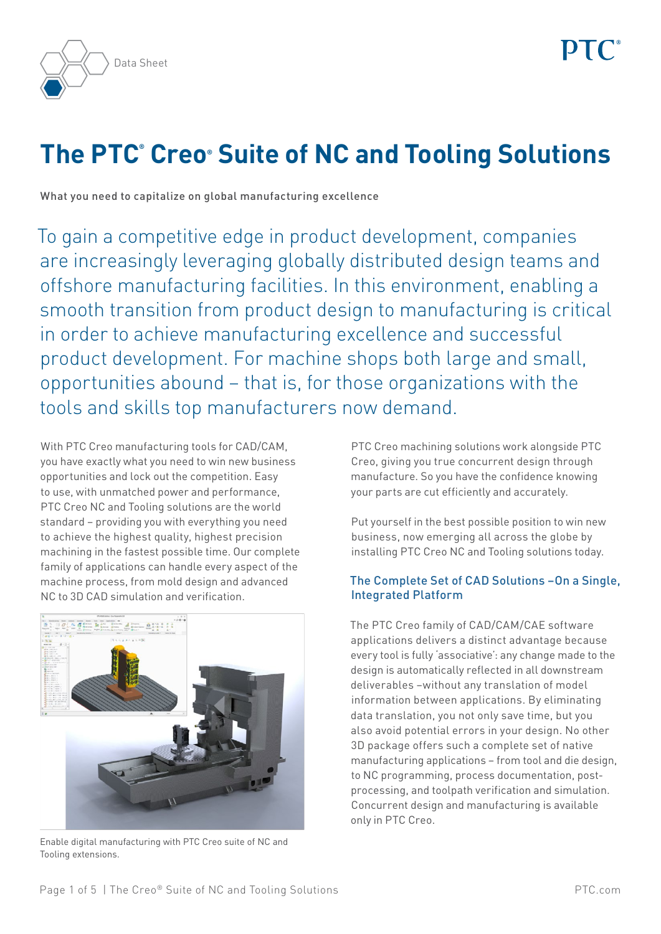



# **The PTC® Creo® Suite of NC and Tooling Solutions**

What you need to capitalize on global manufacturing excellence

To gain a competitive edge in product development, companies are increasingly leveraging globally distributed design teams and offshore manufacturing facilities. In this environment, enabling a smooth transition from product design to manufacturing is critical in order to achieve manufacturing excellence and successful product development. For machine shops both large and small, opportunities abound – that is, for those organizations with the tools and skills top manufacturers now demand.

With PTC Creo manufacturing tools for CAD/CAM, you have exactly what you need to win new business opportunities and lock out the competition. Easy to use, with unmatched power and performance, PTC Creo NC and Tooling solutions are the world standard – providing you with everything you need to achieve the highest quality, highest precision machining in the fastest possible time. Our complete family of applications can handle every aspect of the machine process, from mold design and advanced NC to 3D CAD simulation and verification.



Enable digital manufacturing with PTC Creo suite of NC and Tooling extensions.

PTC Creo machining solutions work alongside PTC Creo, giving you true concurrent design through manufacture. So you have the confidence knowing your parts are cut efficiently and accurately.

Put yourself in the best possible position to win new business, now emerging all across the globe by installing PTC Creo NC and Tooling solutions today.

# The Complete Set of CAD Solutions –On a Single, Integrated Platform

The PTC Creo family of CAD/CAM/CAE software applications delivers a distinct advantage because every tool is fully 'associative': any change made to the design is automatically reflected in all downstream deliverables –without any translation of model information between applications. By eliminating data translation, you not only save time, but you also avoid potential errors in your design. No other 3D package offers such a complete set of native manufacturing applications – from tool and die design, to NC programming, process documentation, postprocessing, and toolpath verification and simulation. Concurrent design and manufacturing is available only in PTC Creo.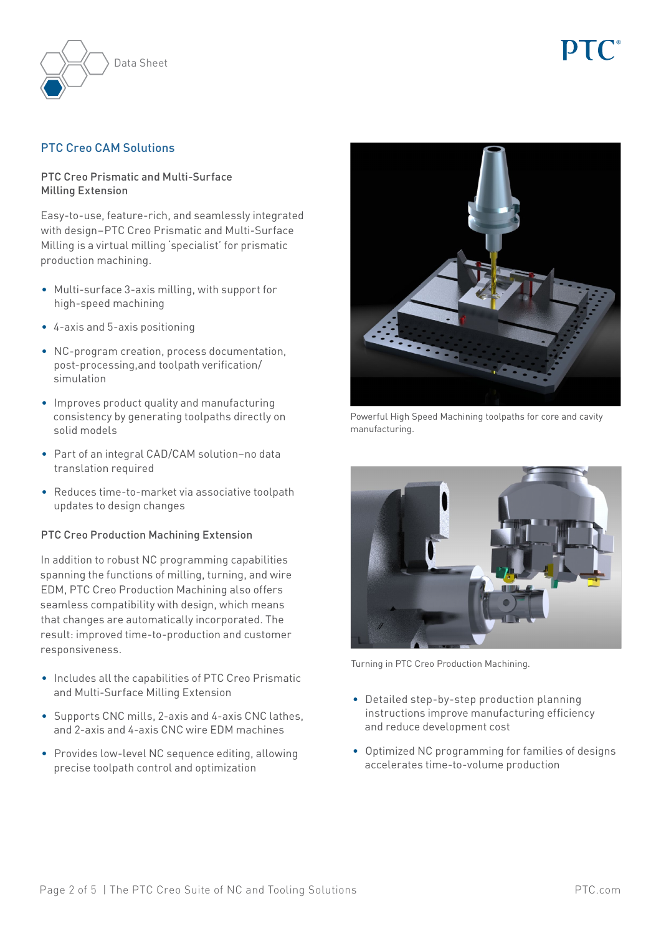

# PTC Creo CAM Solutions

### PTC Creo Prismatic and Multi-Surface Milling Extension

Easy-to-use, feature-rich, and seamlessly integrated with design–PTC Creo Prismatic and Multi-Surface Milling is a virtual milling 'specialist' for prismatic production machining.

- Multi-surface 3-axis milling, with support for high-speed machining
- • 4-axis and 5-axis positioning
- • NC-program creation, process documentation, post-processing,and toolpath verification/ simulation
- • Improves product quality and manufacturing consistency by generating toolpaths directly on solid models
- • Part of an integral CAD/CAM solution–no data translation required
- Reduces time-to-market via associative toolpath updates to design changes

#### PTC Creo Production Machining Extension

In addition to robust NC programming capabilities spanning the functions of milling, turning, and wire EDM, PTC Creo Production Machining also offers seamless compatibility with design, which means that changes are automatically incorporated. The result: improved time-to-production and customer responsiveness.

- • Includes all the capabilities of PTC Creo Prismatic and Multi-Surface Milling Extension
- Supports CNC mills, 2-axis and 4-axis CNC lathes, and 2-axis and 4-axis CNC wire EDM machines
- Provides low-level NC sequence editing, allowing precise toolpath control and optimization



Powerful High Speed Machining toolpaths for core and cavity manufacturing.



Turning in PTC Creo Production Machining.

- Detailed step-by-step production planning instructions improve manufacturing efficiency and reduce development cost
- • Optimized NC programming for families of designs accelerates time-to-volume production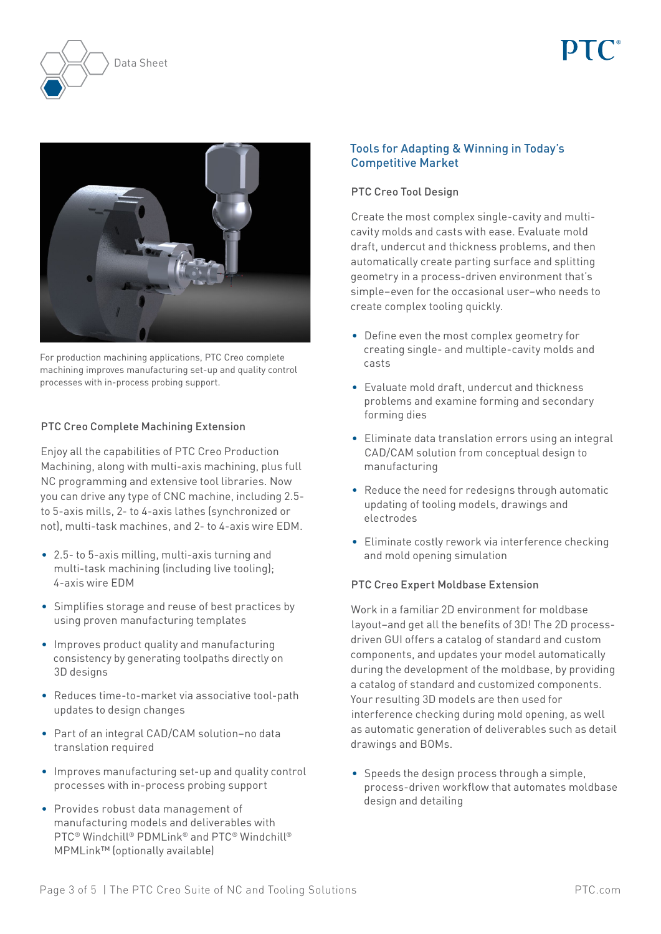



For production machining applications, PTC Creo complete machining improves manufacturing set-up and quality control processes with in-process probing support.

# PTC Creo Complete Machining Extension

Enjoy all the capabilities of PTC Creo Production Machining, along with multi-axis machining, plus full NC programming and extensive tool libraries. Now you can drive any type of CNC machine, including 2.5 to 5-axis mills, 2- to 4-axis lathes (synchronized or not), multi-task machines, and 2- to 4-axis wire EDM.

- 2.5- to 5-axis milling, multi-axis turning and multi-task machining (including live tooling); 4-axis wire EDM
- • Simplifies storage and reuse of best practices by using proven manufacturing templates
- Improves product quality and manufacturing consistency by generating toolpaths directly on 3D designs
- • Reduces time-to-market via associative tool-path updates to design changes
- • Part of an integral CAD/CAM solution–no data translation required
- Improves manufacturing set-up and quality control processes with in-process probing support
- • Provides robust data management of manufacturing models and deliverables with PTC® Windchill® PDMLink® and PTC® Windchill® MPMLink™ (optionally available)

# Tools for Adapting & Winning in Today's Competitive Market

# PTC Creo Tool Design

Create the most complex single-cavity and multicavity molds and casts with ease. Evaluate mold draft, undercut and thickness problems, and then automatically create parting surface and splitting geometry in a process-driven environment that's simple–even for the occasional user–who needs to create complex tooling quickly.

- • Define even the most complex geometry for creating single- and multiple-cavity molds and casts
- • Evaluate mold draft, undercut and thickness problems and examine forming and secondary forming dies
- Eliminate data translation errors using an integral CAD/CAM solution from conceptual design to manufacturing
- Reduce the need for redesigns through automatic updating of tooling models, drawings and electrodes
- Eliminate costly rework via interference checking and mold opening simulation

#### PTC Creo Expert Moldbase Extension

Work in a familiar 2D environment for moldbase layout–and get all the benefits of 3D! The 2D processdriven GUI offers a catalog of standard and custom components, and updates your model automatically during the development of the moldbase, by providing a catalog of standard and customized components. Your resulting 3D models are then used for interference checking during mold opening, as well as automatic generation of deliverables such as detail drawings and BOMs.

• Speeds the design process through a simple. process-driven workflow that automates moldbase design and detailing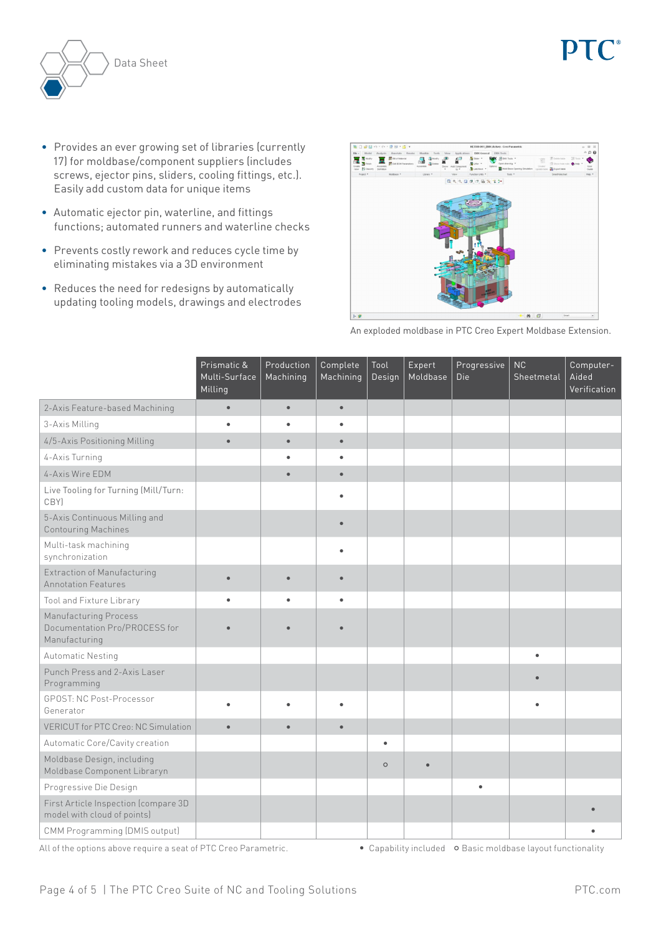

- • Provides an ever growing set of libraries (currently 17) for moldbase/component suppliers (includes screws, ejector pins, sliders, cooling fittings, etc.). Easily add custom data for unique items
- • Automatic ejector pin, waterline, and fittings functions; automated runners and waterline checks
- Prevents costly rework and reduces cycle time by eliminating mistakes via a 3D environment
- Reduces the need for redesigns by automatically updating tooling models, drawings and electrodes



An exploded moldbase in PTC Creo Expert Moldbase Extension.

|                                                                         | Prismatic &<br>Multi-Surface<br>Milling | Production<br>Machining | Complete<br>Machining | Tool<br>Design | Expert<br>Moldbase | Progressive<br>Die | NC<br>Sheetmetal | Computer-<br>Aided<br>Verification |
|-------------------------------------------------------------------------|-----------------------------------------|-------------------------|-----------------------|----------------|--------------------|--------------------|------------------|------------------------------------|
| 2-Axis Feature-based Machining                                          | $\bullet$                               | $\bullet$               | $\bullet$             |                |                    |                    |                  |                                    |
| 3-Axis Milling                                                          | $\bullet$                               | ٠                       | $\bullet$             |                |                    |                    |                  |                                    |
| 4/5-Axis Positioning Milling                                            | $\bullet$                               | $\bullet$               | $\bullet$             |                |                    |                    |                  |                                    |
| 4-Axis Turning                                                          |                                         |                         |                       |                |                    |                    |                  |                                    |
| 4-Axis Wire EDM                                                         |                                         | $\bullet$               | $\bullet$             |                |                    |                    |                  |                                    |
| Live Tooling for Turning (Mill/Turn:<br>CBY)                            |                                         |                         |                       |                |                    |                    |                  |                                    |
| 5-Axis Continuous Milling and<br><b>Contouring Machines</b>             |                                         |                         | $\bullet$             |                |                    |                    |                  |                                    |
| Multi-task machining<br>synchronization                                 |                                         |                         | ٠                     |                |                    |                    |                  |                                    |
| <b>Extraction of Manufacturing</b><br><b>Annotation Features</b>        | $\bullet$                               | $\bullet$               | $\bullet$             |                |                    |                    |                  |                                    |
| Tool and Fixture Library                                                | $\bullet$                               |                         | $\bullet$             |                |                    |                    |                  |                                    |
| Manufacturing Process<br>Documentation Pro/PROCESS for<br>Manufacturing |                                         |                         |                       |                |                    |                    |                  |                                    |
| Automatic Nesting                                                       |                                         |                         |                       |                |                    |                    | $\bullet$        |                                    |
| Punch Press and 2-Axis Laser<br>Programming                             |                                         |                         |                       |                |                    |                    |                  |                                    |
| <b>GPOST: NC Post-Processor</b><br>Generator                            | $\bullet$                               |                         |                       |                |                    |                    |                  |                                    |
| <b>VERICUT for PTC Creo: NC Simulation</b>                              | $\bullet$                               | $\bullet$               | $\bullet$             |                |                    |                    |                  |                                    |
| Automatic Core/Cavity creation                                          |                                         |                         |                       | $\bullet$      |                    |                    |                  |                                    |
| Moldbase Design, including<br>Moldbase Component Libraryn               |                                         |                         |                       | $\circ$        | $\bullet$          |                    |                  |                                    |
| Progressive Die Design                                                  |                                         |                         |                       |                |                    | $\bullet$          |                  |                                    |
| First Article Inspection (compare 3D<br>model with cloud of points)     |                                         |                         |                       |                |                    |                    |                  |                                    |
| CMM Programming (DMIS output)                                           |                                         |                         |                       |                |                    |                    |                  |                                    |

All of the options above require a seat of PTC Creo Parametric.  $\bullet$  Capability included  $\bullet$  Basic moldbase layout functionality